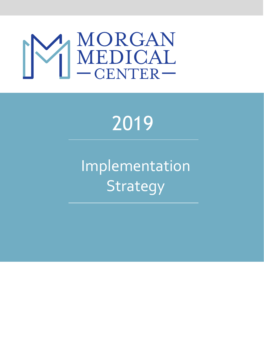

# 2019

Implementation Strategy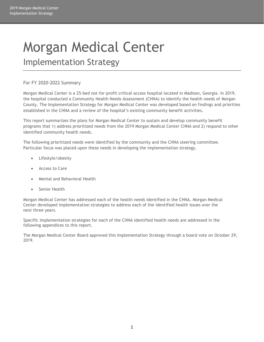## Morgan Medical Center

Implementation Strategy

#### For FY 2020-2022 Summary

Morgan Medical Center is a 25-bed not-for-profit critical access hospital located in Madison, Georgia. In 2019, the hospital conducted a Community Health Needs Assessment (CHNA) to identify the health needs of Morgan County. The Implementation Strategy for Morgan Medical Center was developed based on findings and priorities established in the CHNA and a review of the hospital's existing community benefit activities.

This report summarizes the plans for Morgan Medical Center to sustain and develop community benefit programs that 1) address prioritized needs from the 2019 Morgan Medical Center CHNA and 2) respond to other identified community health needs.

The following prioritized needs were identified by the community and the CHNA steering committee. Particular focus was placed upon these needs in developing the implementation strategy.

- Lifestyle/obesity
- Access to Care
- Mental and Behavioral Health
- Senior Health

Morgan Medical Center has addressed each of the health needs identified in the CHNA. Morgan Medical Center developed implementation strategies to address each of the identified health issues over the next three years.

Specific implementation strategies for each of the CHNA identified health needs are addressed in the following appendices to this report.

The Morgan Medical Center Board approved this Implementation Strategy through a board vote on October 29, 2019.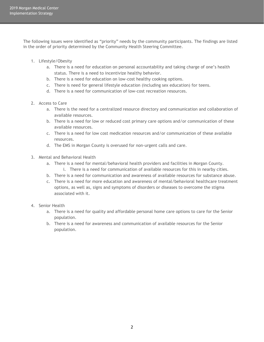The following issues were identified as "priority" needs by the community participants. The findings are listed in the order of priority determined by the Community Health Steering Committee.

- 1. Lifestyle/Obesity
	- a. There is a need for education on personal accountability and taking charge of one's health status. There is a need to incentivize healthy behavior.
	- b. There is a need for education on low-cost healthy cooking options.
	- c. There is need for general lifestyle education (including sex education) for teens.
	- d. There is a need for communication of low-cost recreation resources.
- 2. Access to Care
	- a. There is the need for a centralized resource directory and communication and collaboration of available resources.
	- b. There is a need for low or reduced cost primary care options and/or communication of these available resources.
	- c. There is a need for low cost medication resources and/or communication of these available resources.
	- d. The EMS in Morgan County is overused for non-urgent calls and care.
- 3. Mental and Behavioral Health
	- a. There is a need for mental/behavioral health providers and facilities in Morgan County.
	- i. There is a need for communication of available resources for this in nearby cities.
	- b. There is a need for communication and awareness of available resources for substance abuse.
	- c. There is a need for more education and awareness of mental/behavioral healthcare treatment options, as well as, signs and symptoms of disorders or diseases to overcome the stigma associated with it.
- 4. Senior Health
	- a. There is a need for quality and affordable personal home care options to care for the Senior population.
	- b. There is a need for awareness and communication of available resources for the Senior population.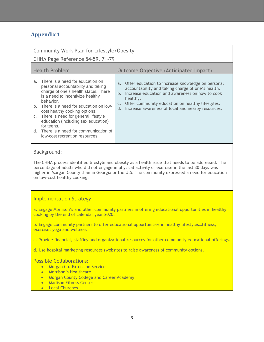| Community Work Plan for Lifestyle/Obesity<br>CHNA Page Reference 54-59, 71-79                                                                                                                                                                                                                                                                                                                                                           |                                                                                                                                                                                                                                                                                            |  |  |
|-----------------------------------------------------------------------------------------------------------------------------------------------------------------------------------------------------------------------------------------------------------------------------------------------------------------------------------------------------------------------------------------------------------------------------------------|--------------------------------------------------------------------------------------------------------------------------------------------------------------------------------------------------------------------------------------------------------------------------------------------|--|--|
| <b>Health Problem</b>                                                                                                                                                                                                                                                                                                                                                                                                                   | Outcome Objective (Anticipated Impact)                                                                                                                                                                                                                                                     |  |  |
| There is a need for education on<br>a.<br>personal accountability and taking<br>charge of one's health status. There<br>is a need to incentivize healthy<br>behavior.<br>There is a need for education on low-<br>b.<br>cost healthy cooking options.<br>There is need for general lifestyle<br>C.<br>education (including sex education)<br>for teens.<br>There is a need for communication of<br>d.<br>low-cost recreation resources. | a. Offer education to increase knowledge on personal<br>accountability and taking charge of one's health.<br>b. Increase education and awareness on how to cook<br>healthy.<br>c. Offer community education on healthy lifestyles.<br>d. Increase awareness of local and nearby resources. |  |  |
| Background:<br>The CHNA process identified lifestyle and obesity as a health issue that needs to be addressed. The<br>percentage of adults who did not engage in physical activity or exercise in the last 30 days was<br>higher in Morgan County than in Georgia or the U.S. The community expressed a need for education<br>on low-cost healthy cooking.                                                                              |                                                                                                                                                                                                                                                                                            |  |  |
| <b>Implementation Strategy:</b>                                                                                                                                                                                                                                                                                                                                                                                                         |                                                                                                                                                                                                                                                                                            |  |  |
| a. Engage Morrison's and other community partners in offering educational opportunities in healthy<br>cooking by the end of calendar year 2020.                                                                                                                                                                                                                                                                                         |                                                                                                                                                                                                                                                                                            |  |  |
| b. Engage community partners to offer educational opportunities in healthy lifestylesfitness,<br>exercise, yoga and wellness.                                                                                                                                                                                                                                                                                                           |                                                                                                                                                                                                                                                                                            |  |  |
| c. Provide financial, staffing and organizational resources for other community educational offerings.                                                                                                                                                                                                                                                                                                                                  |                                                                                                                                                                                                                                                                                            |  |  |
| d. Use hospital marketing resources (website) to raise awareness of community options.                                                                                                                                                                                                                                                                                                                                                  |                                                                                                                                                                                                                                                                                            |  |  |
| <b>Possible Collaborations:</b>                                                                                                                                                                                                                                                                                                                                                                                                         |                                                                                                                                                                                                                                                                                            |  |  |

- Morgan Co. Extension Service
- Morrison's Healthcare
- Morgan County College and Career Academy
- Madison Fitness Center
- Local Churches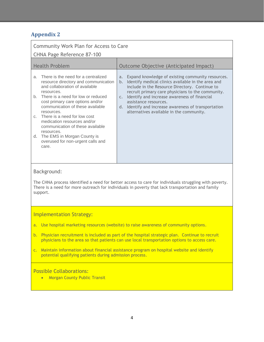| Community Work Plan for Access to Care<br><b>CHNA Page Reference 87-100</b>                                                                                                                                                                                                                                                                                                                                                                                                   |                                                                                                                                                                                                                                                                                                                                                                                                               |  |  |
|-------------------------------------------------------------------------------------------------------------------------------------------------------------------------------------------------------------------------------------------------------------------------------------------------------------------------------------------------------------------------------------------------------------------------------------------------------------------------------|---------------------------------------------------------------------------------------------------------------------------------------------------------------------------------------------------------------------------------------------------------------------------------------------------------------------------------------------------------------------------------------------------------------|--|--|
| <b>Health Problem</b>                                                                                                                                                                                                                                                                                                                                                                                                                                                         | Outcome Objective (Anticipated Impact)                                                                                                                                                                                                                                                                                                                                                                        |  |  |
| There is the need for a centralized<br>a.<br>resource directory and communication<br>and collaboration of available<br>resources.<br>There is a need for low or reduced<br>b.<br>cost primary care options and/or<br>communication of these available<br>resources.<br>There is a need for low cost<br>C.<br>medication resources and/or<br>communication of these available<br>resources.<br>The EMS in Morgan County is<br>d.<br>overused for non-urgent calls and<br>care. | Expand knowledge of existing community resources.<br>a.<br>Identify medical clinics available in the area and<br>b.<br>include in the Resource Directory. Continue to<br>recruit primary care physicians to the community.<br>c. Identify and increase awareness of financial<br>assistance resources.<br>Identify and increase awareness of transportation<br>d.<br>alternatives available in the community. |  |  |
| Background:<br>The CHNA process identified a need for better access to care for individuals struggling with poverty.<br>There is a need for more outreach for individuals in poverty that lack transportation and family<br>support.                                                                                                                                                                                                                                          |                                                                                                                                                                                                                                                                                                                                                                                                               |  |  |

#### Implementation Strategy:

- a. Use hospital marketing resources (website) to raise awareness of community options.
- b. Physician recruitment is included as part of the hospital strategic plan. Continue to recruit physicians to the area so that patients can use local transportation options to access care.
- c. Maintain information about financial assistance program on hospital website and identify potential qualifying patients during admission process.

#### Possible Collaborations:

• Morgan County Public Transit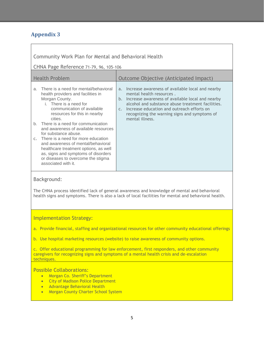Community Work Plan for Mental and Behavioral Health

CHNA Page Reference 71-79, 96, 105-106

| <b>Health Problem</b>                                                                                                                                                                                                                                                                                                                                                                                                                                                                                                                                      | Outcome Objective (Anticipated Impact)                                                                                                                                                                                                                                                                                           |  |
|------------------------------------------------------------------------------------------------------------------------------------------------------------------------------------------------------------------------------------------------------------------------------------------------------------------------------------------------------------------------------------------------------------------------------------------------------------------------------------------------------------------------------------------------------------|----------------------------------------------------------------------------------------------------------------------------------------------------------------------------------------------------------------------------------------------------------------------------------------------------------------------------------|--|
| There is a need for mental/behavioral<br>a.<br>health providers and facilities in<br>Morgan County.<br>i. There is a need for<br>communication of available<br>resources for this in nearby<br>cities.<br>There is a need for communication<br>b.<br>and awareness of available resources<br>for substance abuse.<br>There is a need for more education<br>$C_{\infty}$<br>and awareness of mental/behavioral<br>healthcare treatment options, as well<br>as, signs and symptoms of disorders<br>or diseases to overcome the stigma<br>associated with it. | a. Increase awareness of available local and nearby<br>mental health resources.<br>Increase awareness of available local and nearby<br>b.<br>alcohol and substance abuse treatment facilities.<br>Increase education and outreach efforts on<br>$C_{\infty}$<br>recognizing the warning signs and symptoms of<br>mental illness. |  |

#### Background:

The CHNA process identified lack of general awareness and knowledge of mental and behavioral health signs and symptoms. There is also a lack of local facilities for mental and behavioral health.

#### Implementation Strategy:

a. Provide financial, staffing and organizational resources for other community educational offerings

b. Use hospital marketing resources (website) to raise awareness of community options.

c. Offer educational programming for law enforcement, first responders, and other community caregivers for recognizing signs and symptoms of a mental health crisis and de-escalation techniques.

#### Possible Collaborations:

- Morgan Co. Sheriff's Department
- City of Madison Police Department
- Advantage Behavioral Health
- Morgan County Charter School System